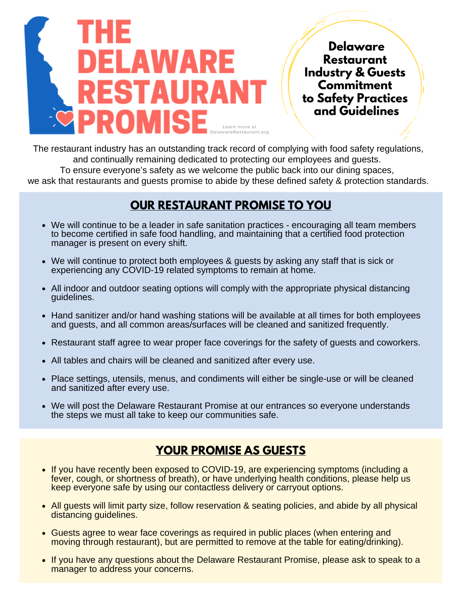

**Delaware Restaurant Industry & Guests Commitment to Safety Practices and Guidelines**

The restaurant industry has an outstanding track record of complying with food safety regulations, and continually remaining dedicated to protecting our employees and guests. To ensure everyone's safety as we welcome the public back into our dining spaces, we ask that restaurants and guests promise to abide by these defined safety & protection standards.

## **OUR RESTAURANT PROMISE TO YOU**

- We will continue to be a leader in safe sanitation practices encouraging all team members to become certified in safe food handling, and maintaining that a certified food protection manager is present on every shift.
- We will continue to protect both employees & guests by asking any staff that is sick or experiencing any COVID-19 related symptoms to remain at home.
- All indoor and outdoor seating options will comply with the appropriate physical distancing guidelines.
- Hand sanitizer and/or hand washing stations will be available at all times for both employees and guests, and all common areas/surfaces will be cleaned and sanitized frequently.
- Restaurant staff agree to wear proper face coverings for the safety of guests and coworkers.
- All tables and chairs will be cleaned and sanitized after every use.
- Place settings, utensils, menus, and condiments will either be single-use or will be cleaned and sanitized after every use.
- We will post the Delaware Restaurant Promise at our entrances so everyone understands the steps we must all take to keep our communities safe.

# **YOUR PROMISE AS GUESTS**

- If you have recently been exposed to COVID-19, are experiencing symptoms (including a fever, cough, or shortness of breath), or have underlying health conditions, please help us keep everyone safe by using our contactless delivery or carryout options.
- All quests will limit party size, follow reservation & seating policies, and abide by all physical distancing guidelines.
- Guests agree to wear face coverings as required in public places (when entering and moving through restaurant), but are permitted to remove at the table for eating/drinking).
- If you have any questions about the Delaware Restaurant Promise, please ask to speak to a manager to address your concerns.